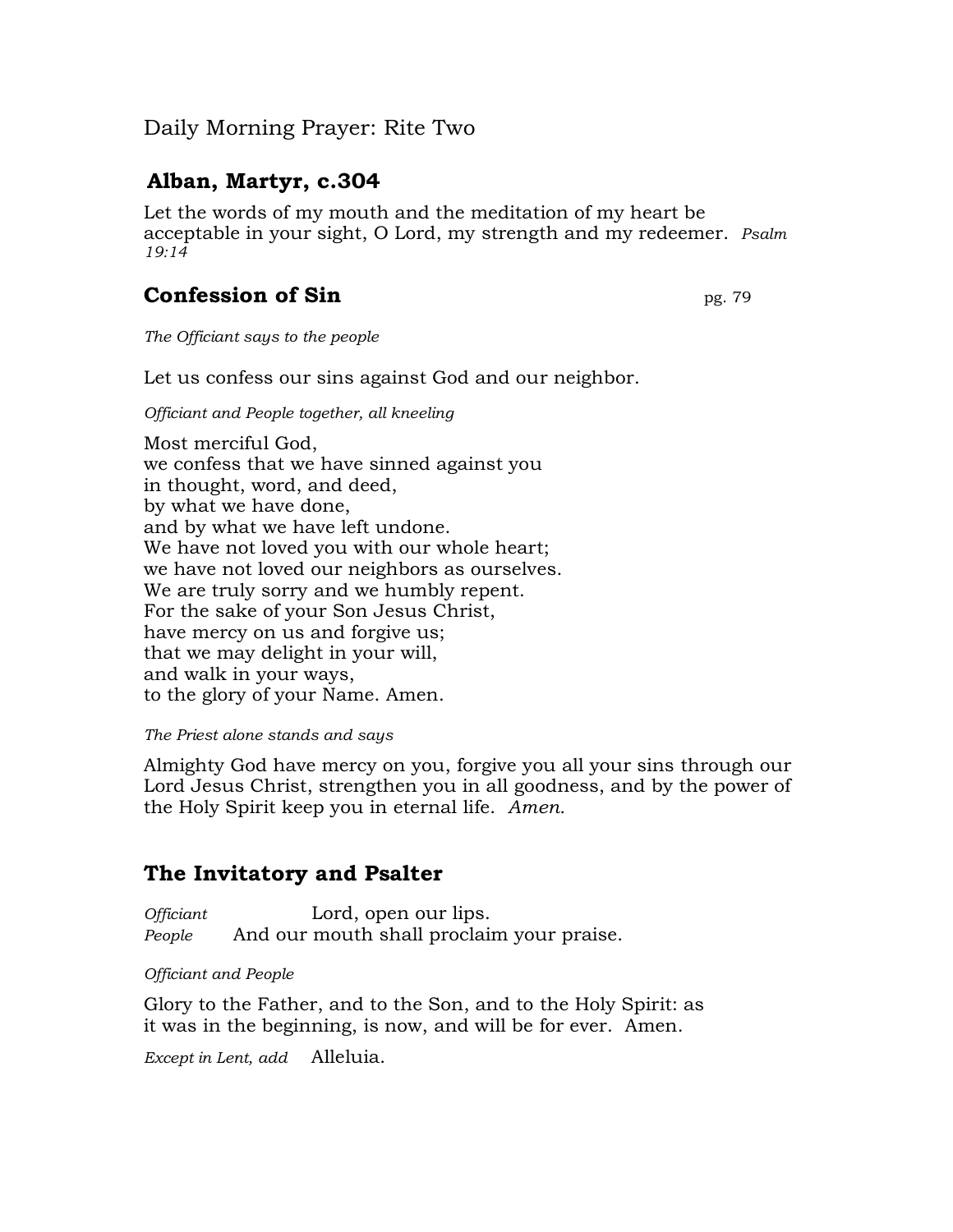## Daily Morning Prayer: Rite Two

# **Alban, Martyr, c.304**

Let the words of my mouth and the meditation of my heart be acceptable in your sight, O Lord, my strength and my redeemer. *Psalm 19:14*

# **Confession of Sin pg. 79**

*The Officiant says to the people*

Let us confess our sins against God and our neighbor.

*Officiant and People together, all kneeling*

Most merciful God, we confess that we have sinned against you in thought, word, and deed, by what we have done, and by what we have left undone. We have not loved you with our whole heart; we have not loved our neighbors as ourselves. We are truly sorry and we humbly repent. For the sake of your Son Jesus Christ, have mercy on us and forgive us; that we may delight in your will, and walk in your ways, to the glory of your Name. Amen.

#### *The Priest alone stands and says*

Almighty God have mercy on you, forgive you all your sins through our Lord Jesus Christ, strengthen you in all goodness, and by the power of the Holy Spirit keep you in eternal life. *Amen.*

### **The Invitatory and Psalter**

*Officiant* Lord, open our lips. *People* And our mouth shall proclaim your praise.

#### *Officiant and People*

Glory to the Father, and to the Son, and to the Holy Spirit: as it was in the beginning, is now, and will be for ever. Amen.

*Except in Lent, add* Alleluia.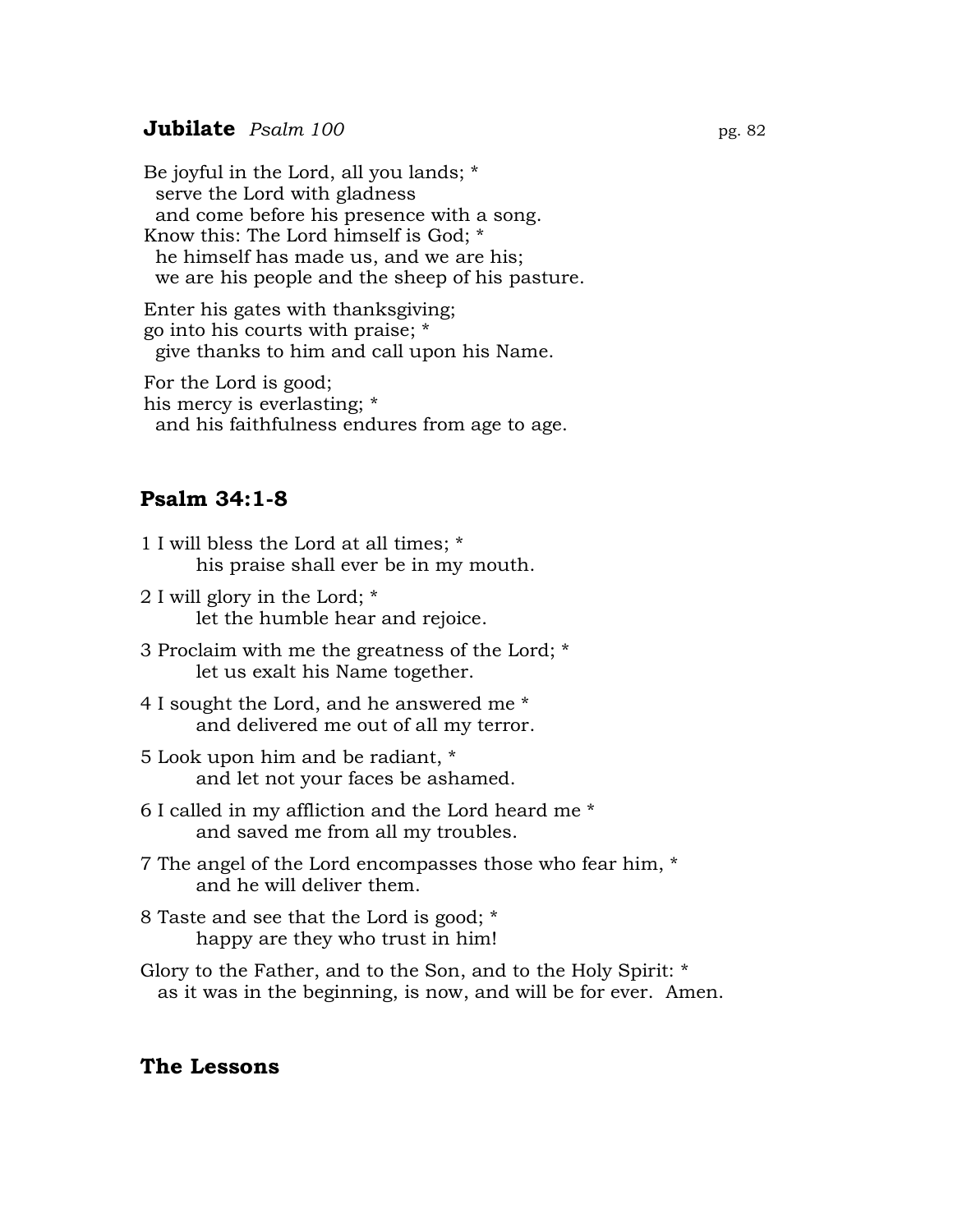#### **Jubilate** *Psalm* 100 **pg. 82**

Be joyful in the Lord, all you lands; \* serve the Lord with gladness and come before his presence with a song. Know this: The Lord himself is God; \* he himself has made us, and we are his; we are his people and the sheep of his pasture.

Enter his gates with thanksgiving; go into his courts with praise; \* give thanks to him and call upon his Name.

For the Lord is good; his mercy is everlasting; \* and his faithfulness endures from age to age.

### **Psalm 34:1-8**

- 1 I will bless the Lord at all times; \* his praise shall ever be in my mouth.
- 2 I will glory in the Lord; \* let the humble hear and rejoice.
- 3 Proclaim with me the greatness of the Lord; \* let us exalt his Name together.
- 4 I sought the Lord, and he answered me \* and delivered me out of all my terror.
- 5 Look upon him and be radiant, \* and let not your faces be ashamed.
- 6 I called in my affliction and the Lord heard me \* and saved me from all my troubles.
- 7 The angel of the Lord encompasses those who fear him, \* and he will deliver them.
- 8 Taste and see that the Lord is good; \* happy are they who trust in him!
- Glory to the Father, and to the Son, and to the Holy Spirit: \* as it was in the beginning, is now, and will be for ever. Amen.

### **The Lessons**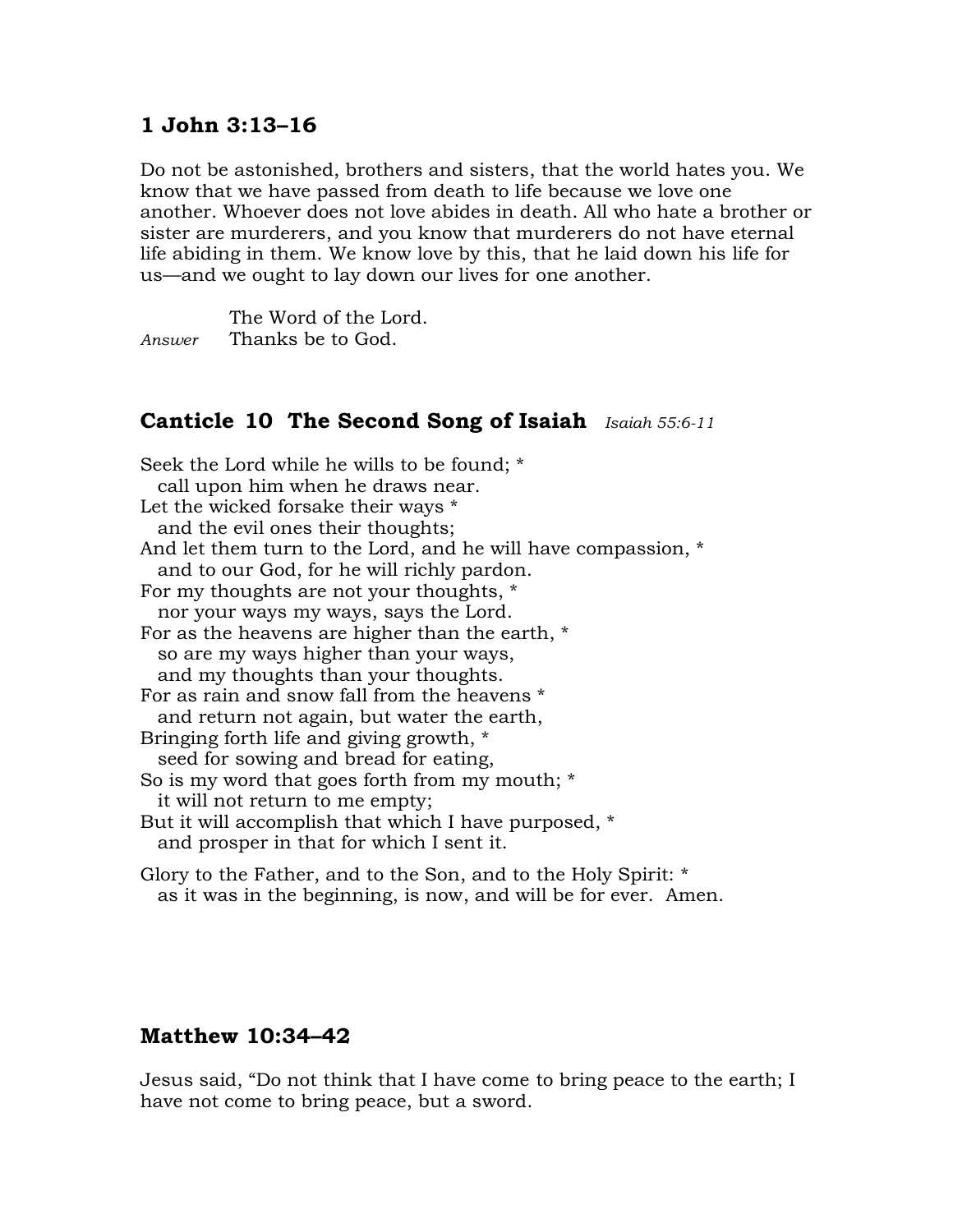### **1 John 3:13–16**

Do not be astonished, brothers and sisters, that the world hates you. We know that we have passed from death to life because we love one another. Whoever does not love abides in death. All who hate a brother or sister are murderers, and you know that murderers do not have eternal life abiding in them. We know love by this, that he laid down his life for us—and we ought to lay down our lives for one another.

The Word of the Lord. *Answer* Thanks be to God.

### **Canticle 10 The Second Song of Isaiah** *Isaiah 55:6-11*

Seek the Lord while he wills to be found; \* call upon him when he draws near. Let the wicked forsake their ways \* and the evil ones their thoughts; And let them turn to the Lord, and he will have compassion, \* and to our God, for he will richly pardon. For my thoughts are not your thoughts, \* nor your ways my ways, says the Lord. For as the heavens are higher than the earth, \* so are my ways higher than your ways, and my thoughts than your thoughts. For as rain and snow fall from the heavens \* and return not again, but water the earth, Bringing forth life and giving growth, \* seed for sowing and bread for eating, So is my word that goes forth from my mouth; \* it will not return to me empty; But it will accomplish that which I have purposed, \* and prosper in that for which I sent it.

Glory to the Father, and to the Son, and to the Holy Spirit: \* as it was in the beginning, is now, and will be for ever. Amen.

### **Matthew 10:34–42**

Jesus said, "Do not think that I have come to bring peace to the earth; I have not come to bring peace, but a sword.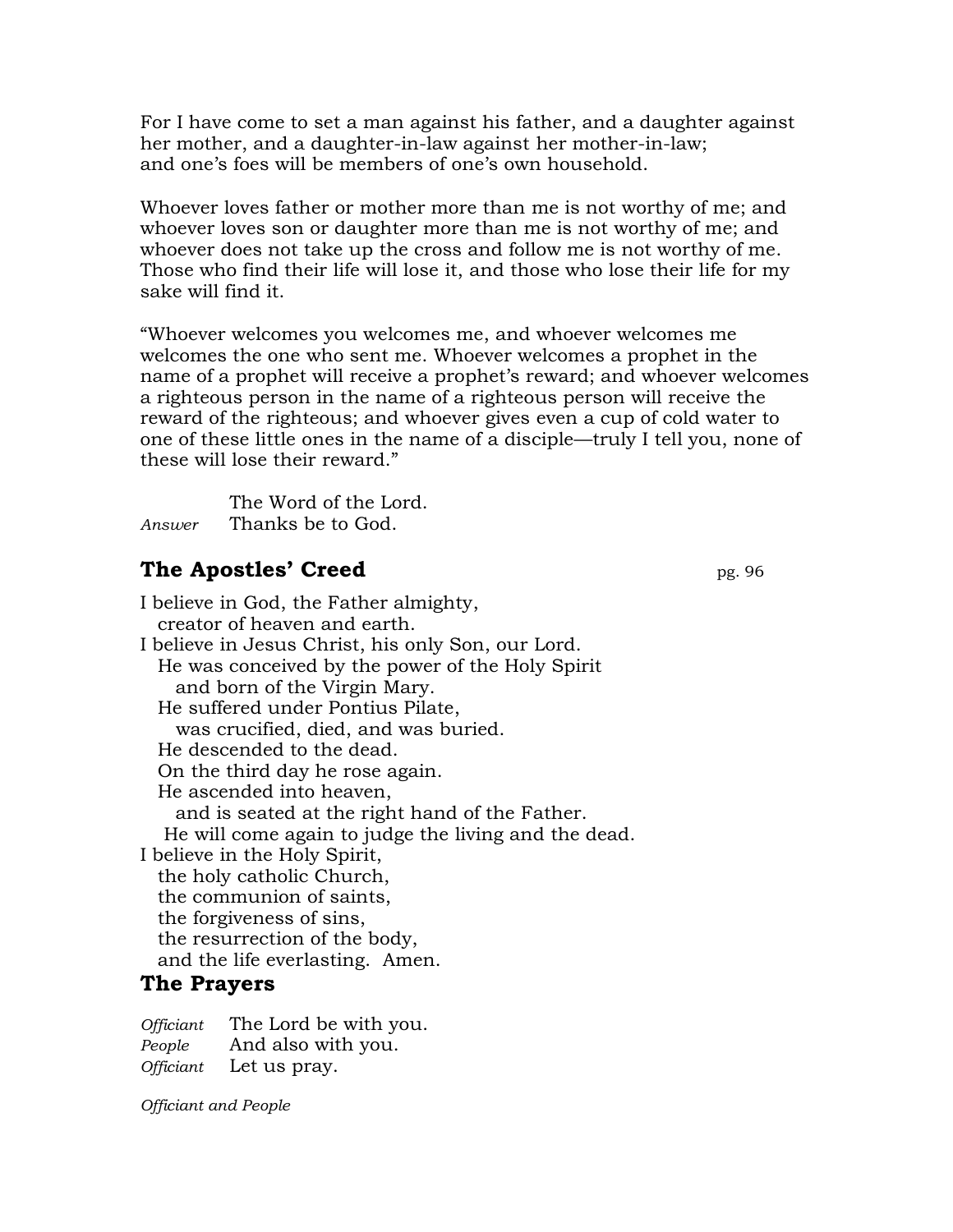For I have come to set a man against his father, and a daughter against her mother, and a daughter-in-law against her mother-in-law; and one's foes will be members of one's own household.

Whoever loves father or mother more than me is not worthy of me; and whoever loves son or daughter more than me is not worthy of me; and whoever does not take up the cross and follow me is not worthy of me. Those who find their life will lose it, and those who lose their life for my sake will find it.

"Whoever welcomes you welcomes me, and whoever welcomes me welcomes the one who sent me. Whoever welcomes a prophet in the name of a prophet will receive a prophet's reward; and whoever welcomes a righteous person in the name of a righteous person will receive the reward of the righteous; and whoever gives even a cup of cold water to one of these little ones in the name of a disciple—truly I tell you, none of these will lose their reward."

The Word of the Lord. *Answer* Thanks be to God.

## **The Apostles' Creed** pg. 96

I believe in God, the Father almighty, creator of heaven and earth. I believe in Jesus Christ, his only Son, our Lord. He was conceived by the power of the Holy Spirit and born of the Virgin Mary. He suffered under Pontius Pilate, was crucified, died, and was buried. He descended to the dead. On the third day he rose again. He ascended into heaven, and is seated at the right hand of the Father. He will come again to judge the living and the dead. I believe in the Holy Spirit, the holy catholic Church, the communion of saints, the forgiveness of sins, the resurrection of the body, and the life everlasting. Amen.

### **The Prayers**

*Officiant* The Lord be with you. *People* And also with you. *Officiant* Let us pray.

*Officiant and People*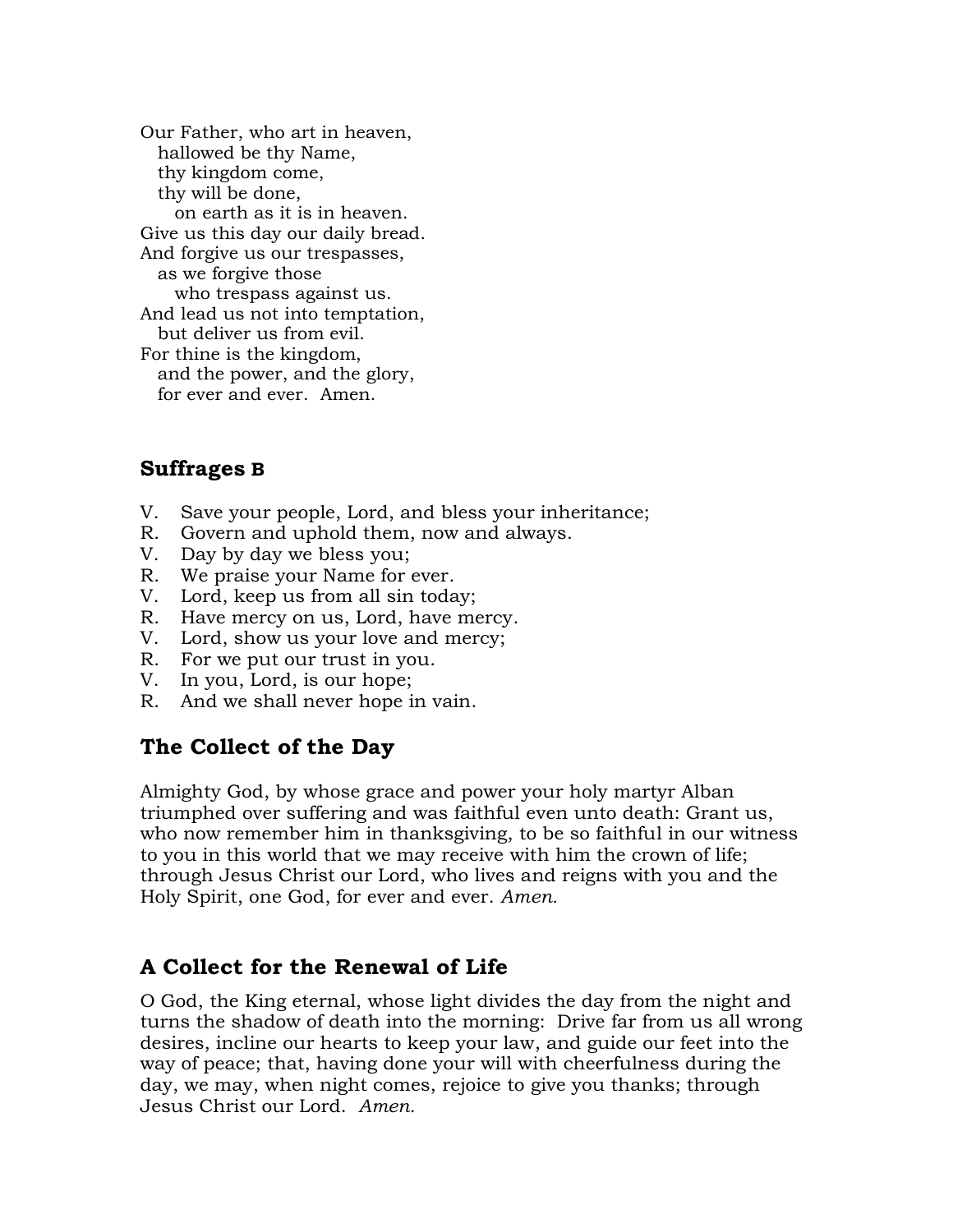Our Father, who art in heaven, hallowed be thy Name, thy kingdom come, thy will be done, on earth as it is in heaven. Give us this day our daily bread. And forgive us our trespasses, as we forgive those who trespass against us. And lead us not into temptation, but deliver us from evil. For thine is the kingdom, and the power, and the glory, for ever and ever. Amen.

### **Suffrages B**

- V. Save your people, Lord, and bless your inheritance;
- R. Govern and uphold them, now and always.
- V. Day by day we bless you;
- R. We praise your Name for ever.
- V. Lord, keep us from all sin today;
- R. Have mercy on us, Lord, have mercy.
- V. Lord, show us your love and mercy;
- R. For we put our trust in you.
- V. In you, Lord, is our hope;
- R. And we shall never hope in vain.

### **The Collect of the Day**

Almighty God, by whose grace and power your holy martyr Alban triumphed over suffering and was faithful even unto death: Grant us, who now remember him in thanksgiving, to be so faithful in our witness to you in this world that we may receive with him the crown of life; through Jesus Christ our Lord, who lives and reigns with you and the Holy Spirit, one God, for ever and ever. *Amen.*

### **A Collect for the Renewal of Life**

O God, the King eternal, whose light divides the day from the night and turns the shadow of death into the morning: Drive far from us all wrong desires, incline our hearts to keep your law, and guide our feet into the way of peace; that, having done your will with cheerfulness during the day, we may, when night comes, rejoice to give you thanks; through Jesus Christ our Lord. *Amen.*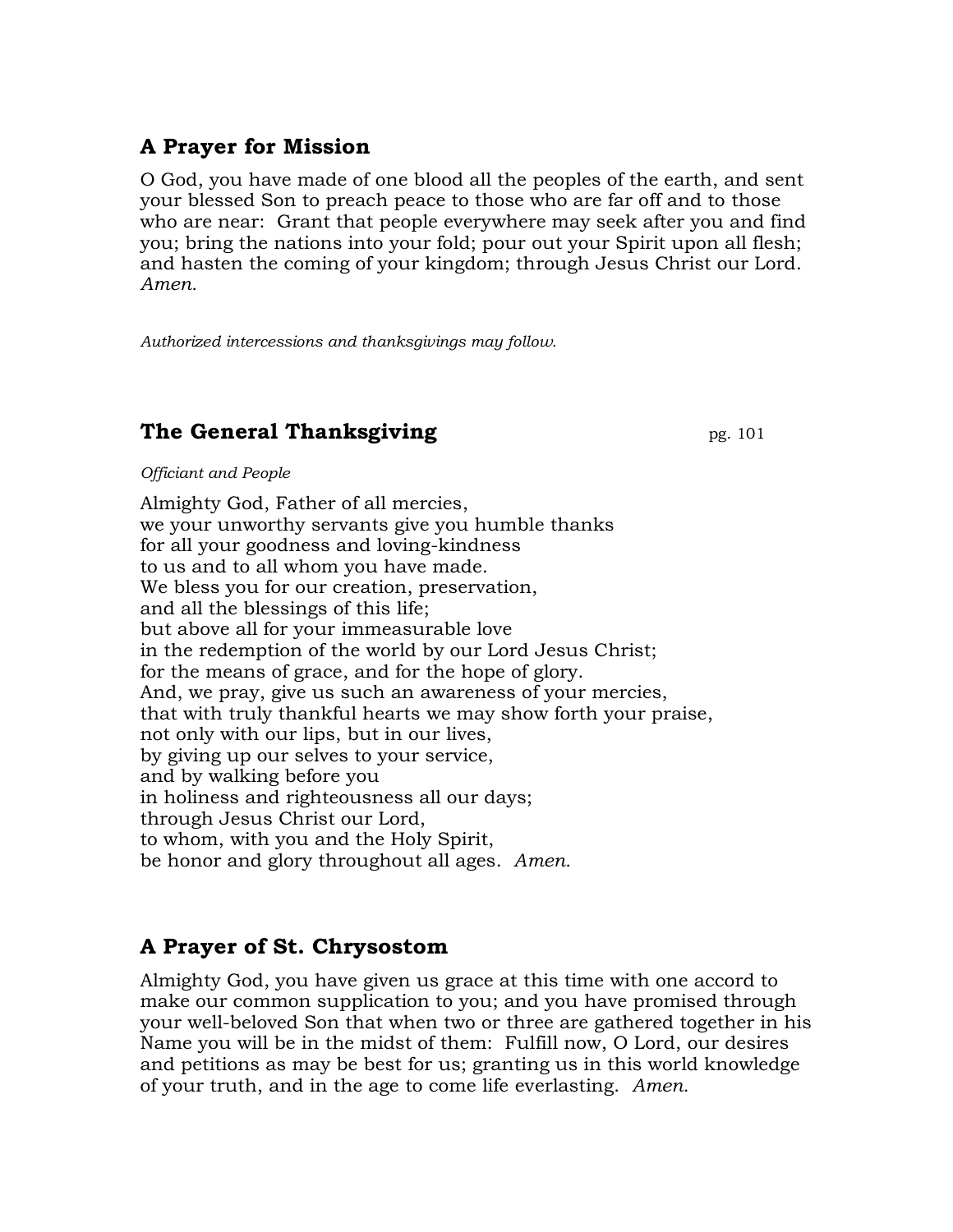# **A Prayer for Mission**

O God, you have made of one blood all the peoples of the earth, and sent your blessed Son to preach peace to those who are far off and to those who are near: Grant that people everywhere may seek after you and find you; bring the nations into your fold; pour out your Spirit upon all flesh; and hasten the coming of your kingdom; through Jesus Christ our Lord. *Amen.*

*Authorized intercessions and thanksgivings may follow.*

## **The General Thanksgiving** pg. 101

*Officiant and People*

Almighty God, Father of all mercies, we your unworthy servants give you humble thanks for all your goodness and loving-kindness to us and to all whom you have made. We bless you for our creation, preservation, and all the blessings of this life; but above all for your immeasurable love in the redemption of the world by our Lord Jesus Christ; for the means of grace, and for the hope of glory. And, we pray, give us such an awareness of your mercies, that with truly thankful hearts we may show forth your praise, not only with our lips, but in our lives, by giving up our selves to your service, and by walking before you in holiness and righteousness all our days; through Jesus Christ our Lord, to whom, with you and the Holy Spirit, be honor and glory throughout all ages. *Amen.*

# **A Prayer of St. Chrysostom**

Almighty God, you have given us grace at this time with one accord to make our common supplication to you; and you have promised through your well-beloved Son that when two or three are gathered together in his Name you will be in the midst of them: Fulfill now, O Lord, our desires and petitions as may be best for us; granting us in this world knowledge of your truth, and in the age to come life everlasting. *Amen.*